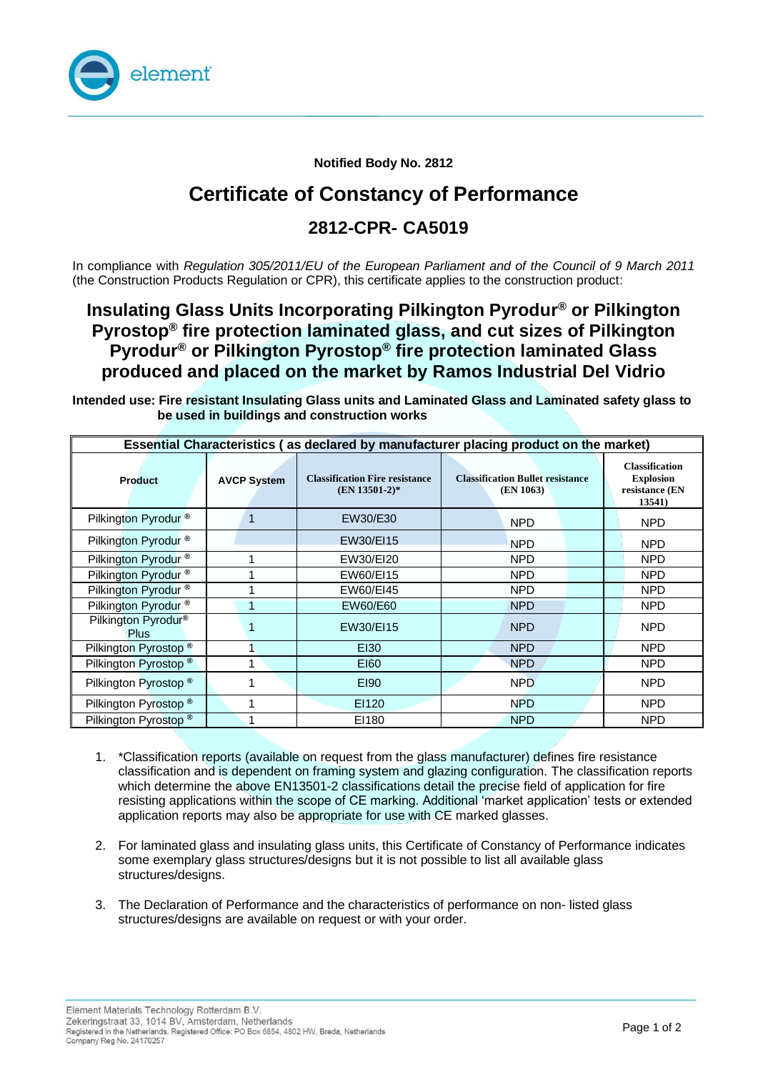

**Notified Body No. 2812**

# **Certificate of Constancy of Performance**

### **2812-CPR- CA5019**

In compliance with *Regulation 305/2011/EU of the European Parliament and of the Council of 9 March 2011*  (the Construction Products Regulation or CPR), this certificate applies to the construction product:

### **Insulating Glass Units Incorporating Pilkington Pyrodur ® or Pilkington Pyrostop® fire protection laminated glass, and cut sizes of Pilkington Pyrodur ® or Pilkington Pyrostop® fire protection laminated Glass produced and placed on the market by Ramos Industrial Del Vidrio**

**Intended use: Fire resistant Insulating Glass units and Laminated Glass and Laminated safety glass to be used in buildings and construction works**

| Essential Characteristics (as declared by manufacturer placing product on the market) |                    |                                                          |                                                      |                                                                       |
|---------------------------------------------------------------------------------------|--------------------|----------------------------------------------------------|------------------------------------------------------|-----------------------------------------------------------------------|
| <b>Product</b>                                                                        | <b>AVCP System</b> | <b>Classification Fire resistance</b><br>$(EN 13501-2)*$ | <b>Classification Bullet resistance</b><br>(EN 1063) | <b>Classification</b><br><b>Explosion</b><br>resistance (EN<br>13541) |
| Pilkington Pyrodur <sup>®</sup>                                                       | 1                  | EW30/E30                                                 | <b>NPD</b>                                           | NPD                                                                   |
| Pilkington Pyrodur <sup>®</sup>                                                       |                    | EW30/EI15                                                | <b>NPD</b>                                           | <b>NPD</b>                                                            |
| Pilkington Pyrodur <sup>®</sup>                                                       |                    | EW30/EI20                                                | <b>NPD</b>                                           | <b>NPD</b>                                                            |
| Pilkington Pyrodur <sup>®</sup>                                                       |                    | EW60/EI15                                                | <b>NPD</b>                                           | <b>NPD</b>                                                            |
| Pilkington Pyrodur <sup>®</sup>                                                       |                    | EW60/EI45                                                | <b>NPD</b>                                           | <b>NPD</b>                                                            |
| Pilkington Pyrodur <sup>®</sup>                                                       |                    | EW60/E60                                                 | <b>NPD</b>                                           | <b>NPD</b>                                                            |
| Pilkington Pyrodur <sup>®</sup><br><b>Plus</b>                                        |                    | EW30/EI15                                                | <b>NPD</b>                                           | <b>NPD</b>                                                            |
| Pilkington Pyrostop <sup>®</sup>                                                      |                    | EI30                                                     | <b>NPD</b>                                           | NPD                                                                   |
| Pilkington Pyrostop <sup>®</sup>                                                      | 1                  | E160                                                     | <b>NPD</b>                                           | NPD                                                                   |
| Pilkington Pyrostop <sup>®</sup>                                                      |                    | E190                                                     | <b>NPD</b>                                           | <b>NPD</b>                                                            |
| Pilkington Pyrostop <sup>®</sup>                                                      | 1                  | EI120                                                    | <b>NPD</b>                                           | NPD                                                                   |
| Pilkington Pyrostop <sup>®</sup>                                                      |                    | EI180                                                    | <b>NPD</b>                                           | <b>NPD</b>                                                            |

- 1. \*Classification reports (available on request from the glass manufacturer) defines fire resistance classification and is dependent on framing system and glazing configuration. The classification reports which determine the above EN13501-2 classifications detail the precise field of application for fire resisting applications within the scope of CE marking. Additional 'market application' tests or extended application reports may also be appropriate for use with CE marked glasses.
- 2. For laminated glass and insulating glass units, this Certificate of Constancy of Performance indicates some exemplary glass structures/designs but it is not possible to list all available glass structures/designs.
- 3. The Declaration of Performance and the characteristics of performance on non- listed glass structures/designs are available on request or with your order.